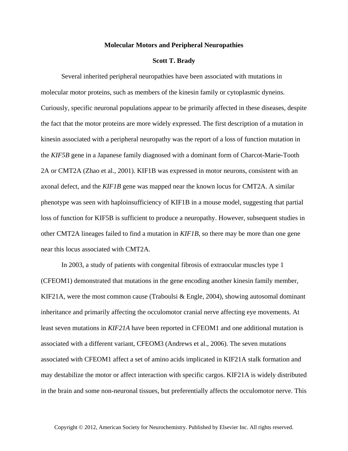## **Molecular Motors and Peripheral Neuropathies**

## **Scott T. Brady**

Several inherited peripheral neuropathies have been associated with mutations in molecular motor proteins, such as members of the kinesin family or cytoplasmic dyneins. Curiously, specific neuronal populations appear to be primarily affected in these diseases, despite the fact that the motor proteins are more widely expressed. The first description of a mutation in kinesin associated with a peripheral neuropathy was the report of a loss of function mutation in the *KIF5B* gene in a Japanese family diagnosed with a dominant form of Charcot-Marie-Tooth 2A or CMT2A (Zhao et al., 2001). KIF1B was expressed in motor neurons, consistent with an axonal defect, and the *KIF1B* gene was mapped near the known locus for CMT2A. A similar phenotype was seen with haploinsufficiency of KIF1B in a mouse model, suggesting that partial loss of function for KIF5B is sufficient to produce a neuropathy. However, subsequent studies in other CMT2A lineages failed to find a mutation in *KIF1B*, so there may be more than one gene near this locus associated with CMT2A.

In 2003, a study of patients with congenital fibrosis of extraocular muscles type 1 (CFEOM1) demonstrated that mutations in the gene encoding another kinesin family member, KIF21A, were the most common cause (Traboulsi & Engle, 2004), showing autosomal dominant inheritance and primarily affecting the occulomotor cranial nerve affecting eye movements. At least seven mutations in *KIF21A* have been reported in CFEOM1 and one additional mutation is associated with a different variant, CFEOM3 (Andrews et al., 2006). The seven mutations associated with CFEOM1 affect a set of amino acids implicated in KIF21A stalk formation and may destabilize the motor or affect interaction with specific cargos. KIF21A is widely distributed in the brain and some non-neuronal tissues, but preferentially affects the occulomotor nerve. This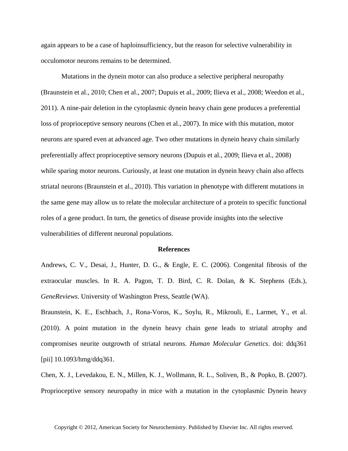again appears to be a case of haploinsufficiency, but the reason for selective vulnerability in occulomotor neurons remains to be determined.

Mutations in the dynein motor can also produce a selective peripheral neuropathy (Braunstein et al., 2010; Chen et al., 2007; Dupuis et al., 2009; Ilieva et al., 2008; Weedon et al., 2011). A nine-pair deletion in the cytoplasmic dynein heavy chain gene produces a preferential loss of proprioceptive sensory neurons (Chen et al., 2007). In mice with this mutation, motor neurons are spared even at advanced age. Two other mutations in dynein heavy chain similarly preferentially affect proprioceptive sensory neurons (Dupuis et al., 2009; Ilieva et al., 2008) while sparing motor neurons. Curiously, at least one mutation in dynein heavy chain also affects striatal neurons (Braunstein et al., 2010). This variation in phenotype with different mutations in the same gene may allow us to relate the molecular architecture of a protein to specific functional roles of a gene product. In turn, the genetics of disease provide insights into the selective vulnerabilities of different neuronal populations.

## **References**

Andrews, C. V., Desai, J., Hunter, D. G., & Engle, E. C. (2006). Congenital fibrosis of the extraocular muscles. In R. A. Pagon, T. D. Bird, C. R. Dolan, & K. Stephens (Eds.), *GeneReviews*. University of Washington Press, Seattle (WA).

Braunstein, K. E., Eschbach, J., Rona-Voros, K., Soylu, R., Mikrouli, E., Larmet, Y., et al. (2010). A point mutation in the dynein heavy chain gene leads to striatal atrophy and compromises neurite outgrowth of striatal neurons. *Human Molecular Genetics*. doi: ddq361 [pii] 10.1093/hmg/ddq361.

Chen, X. J., Levedakou, E. N., Millen, K. J., Wollmann, R. L., Soliven, B., & Popko, B. (2007). Proprioceptive sensory neuropathy in mice with a mutation in the cytoplasmic Dynein heavy